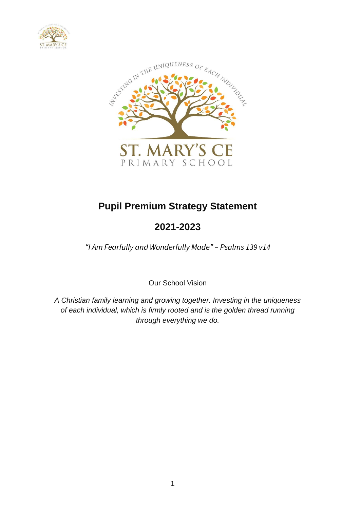



# **Pupil Premium Strategy Statement**

# **2021-2023**

*"I Am Fearfully and Wonderfully Made" – Psalms 139 v14*

Our School Vision

*A Christian family learning and growing together. Investing in the uniqueness of each individual, which is firmly rooted and is the golden thread running through everything we do.*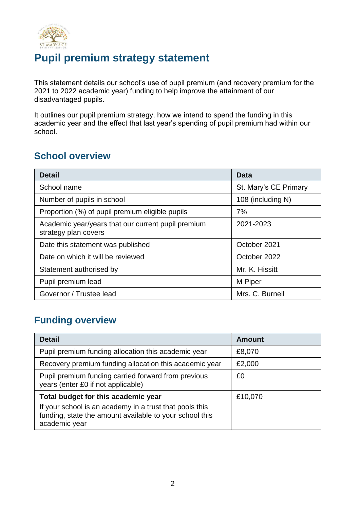

## **Pupil premium strategy statement**

This statement details our school's use of pupil premium (and recovery premium for the 2021 to 2022 academic year) funding to help improve the attainment of our disadvantaged pupils.

It outlines our pupil premium strategy, how we intend to spend the funding in this academic year and the effect that last year's spending of pupil premium had within our school.

#### **School overview**

| <b>Detail</b>                                                              | Data                  |
|----------------------------------------------------------------------------|-----------------------|
| School name                                                                | St. Mary's CE Primary |
| Number of pupils in school                                                 | 108 (including N)     |
| Proportion (%) of pupil premium eligible pupils                            | 7%                    |
| Academic year/years that our current pupil premium<br>strategy plan covers | 2021-2023             |
| Date this statement was published                                          | October 2021          |
| Date on which it will be reviewed                                          | October 2022          |
| Statement authorised by                                                    | Mr. K. Hissitt        |
| Pupil premium lead                                                         | M Piper               |
| Governor / Trustee lead                                                    | Mrs. C. Burnell       |

#### **Funding overview**

| <b>Detail</b>                                                                                                                                                              | <b>Amount</b> |
|----------------------------------------------------------------------------------------------------------------------------------------------------------------------------|---------------|
| Pupil premium funding allocation this academic year                                                                                                                        | £8,070        |
| Recovery premium funding allocation this academic year                                                                                                                     | £2,000        |
| Pupil premium funding carried forward from previous<br>years (enter £0 if not applicable)                                                                                  | £0            |
| Total budget for this academic year<br>If your school is an academy in a trust that pools this<br>funding, state the amount available to your school this<br>academic year | £10,070       |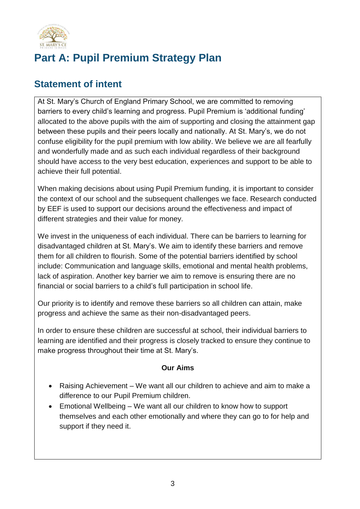

# **Part A: Pupil Premium Strategy Plan**

#### **Statement of intent**

At St. Mary's Church of England Primary School, we are committed to removing barriers to every child's learning and progress. Pupil Premium is 'additional funding' allocated to the above pupils with the aim of supporting and closing the attainment gap between these pupils and their peers locally and nationally. At St. Mary's, we do not confuse eligibility for the pupil premium with low ability. We believe we are all fearfully and wonderfully made and as such each individual regardless of their background should have access to the very best education, experiences and support to be able to achieve their full potential.

When making decisions about using Pupil Premium funding, it is important to consider the context of our school and the subsequent challenges we face. Research conducted by EEF is used to support our decisions around the effectiveness and impact of different strategies and their value for money.

We invest in the uniqueness of each individual. There can be barriers to learning for disadvantaged children at St. Mary's. We aim to identify these barriers and remove them for all children to flourish. Some of the potential barriers identified by school include: Communication and language skills, emotional and mental health problems, lack of aspiration. Another key barrier we aim to remove is ensuring there are no financial or social barriers to a child's full participation in school life.

Our priority is to identify and remove these barriers so all children can attain, make progress and achieve the same as their non-disadvantaged peers.

In order to ensure these children are successful at school, their individual barriers to learning are identified and their progress is closely tracked to ensure they continue to make progress throughout their time at St. Mary's.

#### **Our Aims**

- Raising Achievement We want all our children to achieve and aim to make a difference to our Pupil Premium children.
- Emotional Wellbeing We want all our children to know how to support themselves and each other emotionally and where they can go to for help and support if they need it.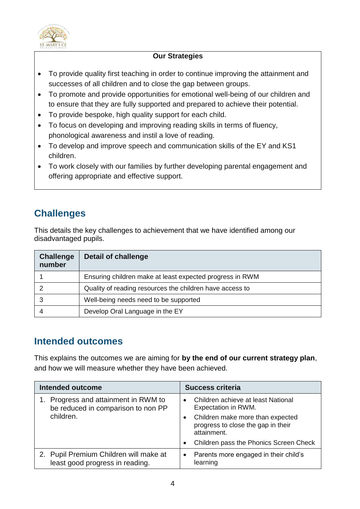

#### **Our Strategies**

- To provide quality first teaching in order to continue improving the attainment and successes of all children and to close the gap between groups.
- To promote and provide opportunities for emotional well-being of our children and to ensure that they are fully supported and prepared to achieve their potential.
- To provide bespoke, high quality support for each child.
- To focus on developing and improving reading skills in terms of fluency, phonological awareness and instil a love of reading.
- To develop and improve speech and communication skills of the EY and KS1 children.
- To work closely with our families by further developing parental engagement and offering appropriate and effective support.

## **Challenges**

This details the key challenges to achievement that we have identified among our disadvantaged pupils.

| <b>Challenge</b><br>number | <b>Detail of challenge</b>                               |
|----------------------------|----------------------------------------------------------|
|                            | Ensuring children make at least expected progress in RWM |
|                            | Quality of reading resources the children have access to |
|                            | Well-being needs need to be supported                    |
|                            | Develop Oral Language in the EY                          |

#### **Intended outcomes**

This explains the outcomes we are aiming for **by the end of our current strategy plan**, and how we will measure whether they have been achieved.

| <b>Intended outcome</b>                                                    | <b>Success criteria</b>                                                               |
|----------------------------------------------------------------------------|---------------------------------------------------------------------------------------|
| 1. Progress and attainment in RWM to<br>be reduced in comparison to non PP | Children achieve at least National<br>$\bullet$<br>Expectation in RWM.                |
| children.                                                                  | Children make more than expected<br>progress to close the gap in their<br>attainment. |
|                                                                            | Children pass the Phonics Screen Check                                                |
| 2. Pupil Premium Children will make at<br>least good progress in reading.  | Parents more engaged in their child's<br>$\bullet$<br>learning                        |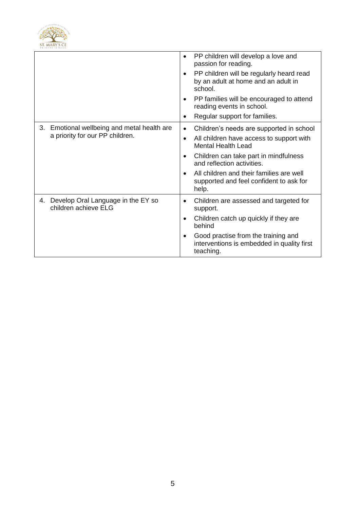

|                                                                  | PP children will develop a love and<br>$\bullet$<br>passion for reading.                                |
|------------------------------------------------------------------|---------------------------------------------------------------------------------------------------------|
|                                                                  | PP children will be regularly heard read<br>$\bullet$<br>by an adult at home and an adult in<br>school. |
|                                                                  | PP families will be encouraged to attend<br>$\bullet$<br>reading events in school.                      |
|                                                                  | Regular support for families.<br>$\bullet$                                                              |
| Emotional wellbeing and metal health are<br>3.                   | Children's needs are supported in school<br>$\bullet$                                                   |
| a priority for our PP children.                                  | All children have access to support with<br><b>Mental Health Lead</b>                                   |
|                                                                  | Children can take part in mindfulness<br>and reflection activities.                                     |
|                                                                  | All children and their families are well<br>supported and feel confident to ask for<br>help.            |
| Develop Oral Language in the EY so<br>4.<br>children achieve ELG | Children are assessed and targeted for<br>$\bullet$<br>support.                                         |
|                                                                  | Children catch up quickly if they are<br>behind                                                         |
|                                                                  | Good practise from the training and<br>interventions is embedded in quality first<br>teaching.          |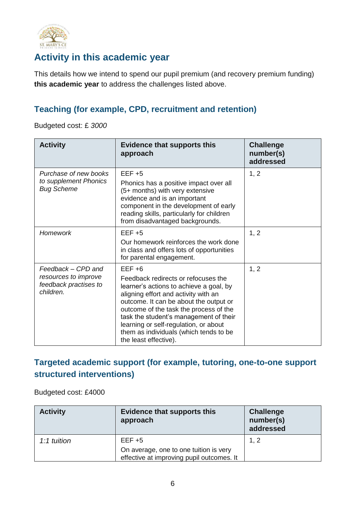

#### **Activity in this academic year**

This details how we intend to spend our pupil premium (and recovery premium funding) **this academic year** to address the challenges listed above.

#### **Teaching (for example, CPD, recruitment and retention)**

Budgeted cost: £ *3000*

| <b>Activity</b>                                                                  | <b>Evidence that supports this</b><br>approach                                                                                                                                                                                                                                                                                                                                | <b>Challenge</b><br>number(s)<br>addressed |
|----------------------------------------------------------------------------------|-------------------------------------------------------------------------------------------------------------------------------------------------------------------------------------------------------------------------------------------------------------------------------------------------------------------------------------------------------------------------------|--------------------------------------------|
| Purchase of new books<br>to supplement Phonics<br><b>Bug Scheme</b>              | $EEF + 5$<br>Phonics has a positive impact over all<br>(5+ months) with very extensive<br>evidence and is an important<br>component in the development of early<br>reading skills, particularly for children<br>from disadvantaged backgrounds.                                                                                                                               | 1, 2                                       |
| <b>Homework</b>                                                                  | $EEF + 5$<br>Our homework reinforces the work done<br>in class and offers lots of opportunities<br>for parental engagement.                                                                                                                                                                                                                                                   | 1, 2                                       |
| Feedback - CPD and<br>resources to improve<br>feedback practises to<br>children. | $EEF + 6$<br>Feedback redirects or refocuses the<br>learner's actions to achieve a goal, by<br>aligning effort and activity with an<br>outcome. It can be about the output or<br>outcome of the task the process of the<br>task the student's management of their<br>learning or self-regulation, or about<br>them as individuals (which tends to be<br>the least effective). | 1, 2                                       |

#### **Targeted academic support (for example, tutoring, one-to-one support structured interventions)**

Budgeted cost: £4000

| <b>Activity</b> | <b>Evidence that supports this</b><br>approach                                                   | <b>Challenge</b><br>number(s)<br>addressed |
|-----------------|--------------------------------------------------------------------------------------------------|--------------------------------------------|
| 1:1 tuition     | $EEF + 5$<br>On average, one to one tuition is very<br>effective at improving pupil outcomes. It | 1, 2                                       |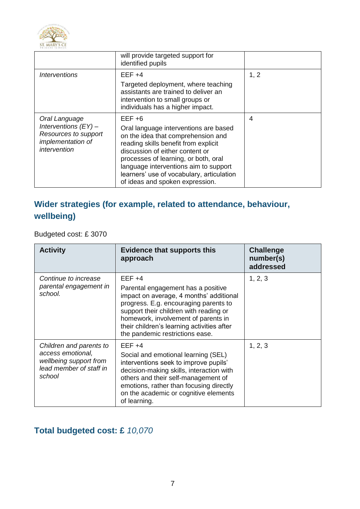

|                                                                                                      | will provide targeted support for<br>identified pupils                                                                                                                                                                                                                                                                               |      |
|------------------------------------------------------------------------------------------------------|--------------------------------------------------------------------------------------------------------------------------------------------------------------------------------------------------------------------------------------------------------------------------------------------------------------------------------------|------|
| Interventions                                                                                        | $EEF +4$<br>Targeted deployment, where teaching<br>assistants are trained to deliver an<br>intervention to small groups or<br>individuals has a higher impact.                                                                                                                                                                       | 1, 2 |
| Oral Language<br>Interventions $(FY)$ –<br>Resources to support<br>implementation of<br>intervention | $EEF + 6$<br>Oral language interventions are based<br>on the idea that comprehension and<br>reading skills benefit from explicit<br>discussion of either content or<br>processes of learning, or both, oral<br>language interventions aim to support<br>learners' use of vocabulary, articulation<br>of ideas and spoken expression. | 4    |

#### **Wider strategies (for example, related to attendance, behaviour, wellbeing)**

Budgeted cost: £ 3070

| <b>Activity</b>                                                                                             | <b>Evidence that supports this</b><br>approach                                                                                                                                                                                                                                                       | <b>Challenge</b><br>number(s)<br>addressed |
|-------------------------------------------------------------------------------------------------------------|------------------------------------------------------------------------------------------------------------------------------------------------------------------------------------------------------------------------------------------------------------------------------------------------------|--------------------------------------------|
| Continue to increase<br>parental engagement in<br>school.                                                   | $EEF +4$<br>Parental engagement has a positive<br>impact on average, 4 months' additional<br>progress. E.g. encouraging parents to<br>support their children with reading or<br>homework, involvement of parents in<br>their children's learning activities after<br>the pandemic restrictions ease. | 1, 2, 3                                    |
| Children and parents to<br>access emotional,<br>wellbeing support from<br>lead member of staff in<br>school | $EEF +4$<br>Social and emotional learning (SEL)<br>interventions seek to improve pupils'<br>decision-making skills, interaction with<br>others and their self-management of<br>emotions, rather than focusing directly<br>on the academic or cognitive elements<br>of learning.                      | 1, 2, 3                                    |

## **Total budgeted cost: £** *10,070*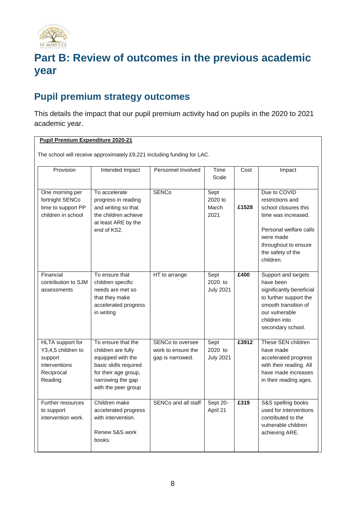

# **Part B: Review of outcomes in the previous academic year**

#### **Pupil premium strategy outcomes**

This details the impact that our pupil premium activity had on pupils in the 2020 to 2021 academic year.

#### **Pupil Premium Expenditure 2020-21**

The school will receive approximately £9,221 including funding for LAC.

| Provision                                                                                   | Intended Impact                                                                                                                                            | Personnel Involved                                         | Time<br>Scale                       | Cost  | Impact                                                                                                                                                                           |
|---------------------------------------------------------------------------------------------|------------------------------------------------------------------------------------------------------------------------------------------------------------|------------------------------------------------------------|-------------------------------------|-------|----------------------------------------------------------------------------------------------------------------------------------------------------------------------------------|
| One morning per<br>fortnight SENCo<br>time to support PP<br>children in school              | To accelerate<br>progress in reading<br>and writing so that<br>the children achieve<br>at least ARE by the<br>end of KS2.                                  | <b>SENCo</b>                                               | Sept<br>2020 to<br>March<br>2021    | £1528 | Due to COVID<br>restrictions and<br>school closures this<br>time was increased.<br>Personal welfare calls<br>were made<br>throughout to ensure<br>the safety of the<br>children. |
| Financial<br>contribution to SJM<br>assessments                                             | To ensure that<br>children specific<br>needs are met so<br>that they make<br>accelerated progress<br>in writing                                            | HT to arrange                                              | Sept<br>2020 to<br><b>July 2021</b> | £400  | Support and targets<br>have been<br>significantly beneficial<br>to further support the<br>smooth transition of<br>our vulnerable<br>children into<br>secondary school.           |
| HLTA support for<br>Y3,4,5 children to<br>support<br>interventions<br>Reciprocal<br>Reading | To ensure that the<br>children are fully<br>equipped with the<br>basic skills required<br>for their age group,<br>narrowing the gap<br>with the peer group | SENCo to oversee<br>work to ensure the<br>gap is narrowed. | Sept<br>2020 to<br><b>July 2021</b> | £3912 | These SEN children<br>have made<br>accelerated progress<br>with their reading. All<br>have made increases<br>in their reading ages.                                              |
| Further resources<br>to support<br>intervention work.                                       | Children make<br>accelerated progress<br>with intervention.<br>Renew S&S work<br>books.                                                                    | SENCo and all staff                                        | Sept 20-<br>April 21                | £319  | S&S spelling books<br>used for interventions<br>contributed to the<br>vulnerable children<br>achieving ARE.                                                                      |